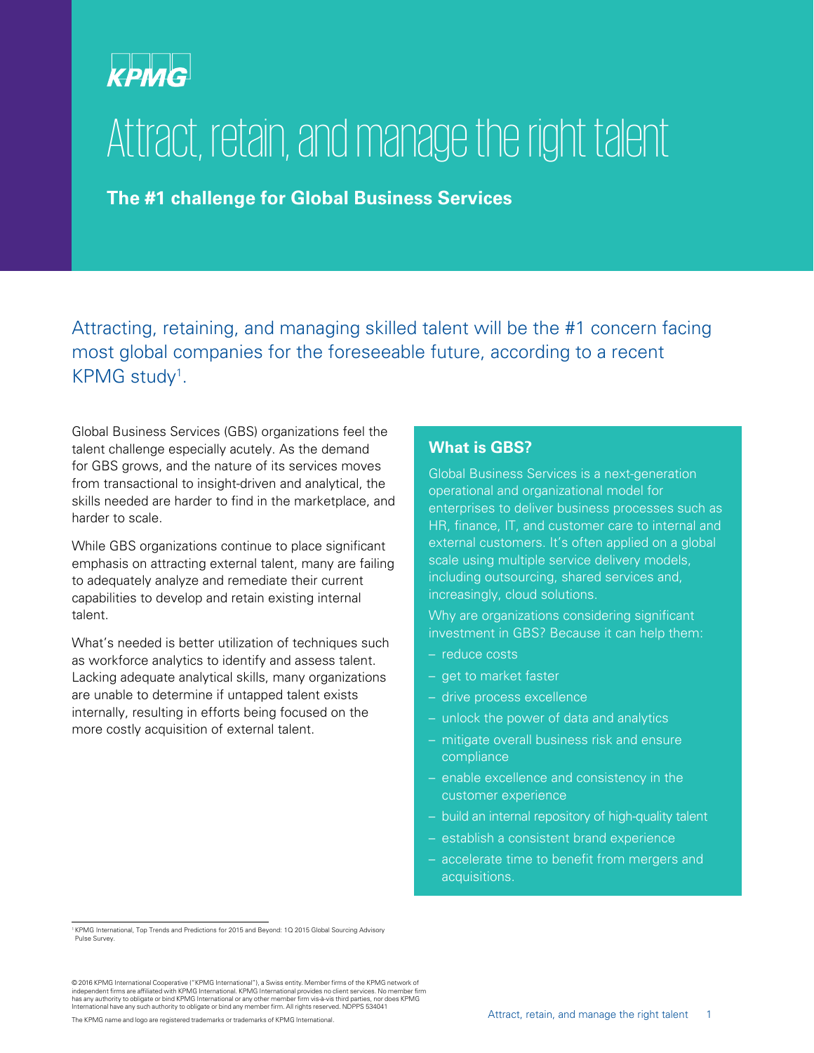# **KPMG**

# Attract, retain, and manage the right talent

**The #1 challenge for Global Business Services**

Attracting, retaining, and managing skilled talent will be the #1 concern facing most global companies for the foreseeable future, according to a recent KPMG study<sup>1</sup>.

Global Business Services (GBS) organizations feel the talent challenge especially acutely. As the demand for GBS grows, and the nature of its services moves from transactional to insight-driven and analytical, the skills needed are harder to find in the marketplace, and harder to scale.

While GBS organizations continue to place significant emphasis on attracting external talent, many are failing to adequately analyze and remediate their current capabilities to develop and retain existing internal talent.

What's needed is better utilization of techniques such as workforce analytics to identify and assess talent. Lacking adequate analytical skills, many organizations are unable to determine if untapped talent exists internally, resulting in efforts being focused on the more costly acquisition of external talent.

### **What is GBS?**

Global Business Services is a next-generation operational and organizational model for enterprises to deliver business processes such as HR, finance, IT, and customer care to internal and external customers. It's often applied on a global scale using multiple service delivery models, including outsourcing, shared services and, increasingly, cloud solutions.

Why are organizations considering significant investment in GBS? Because it can help them:

- reduce costs
- get to market faster
- drive process excellence
- unlock the power of data and analytics
- mitigate overall business risk and ensure compliance
- enable excellence and consistency in the customer experience
- build an internal repository of high-quality talent
- establish a consistent brand experience
- accelerate time to benefit from mergers and acquisitions.

<sup>1</sup> KPMG International, Top Trends and Predictions for 2015 and Beyond: 1Q 2015 Global Sourcing Advisory Pulse Survey.

<sup>© 2016</sup> KPMG International Cooperative ("KPMG International"), a Swiss entity. Member firms of the KPMG network of<br>independent firms are affiliated with KPMG International. KPMG International provides no client services. No has any authority to obligate or bind KPMG International or any other member firm vis-à-vis third parties, nor does KPMG<br>International have any such authority to obligate or bind any member firm. All rights reserved. NDPPS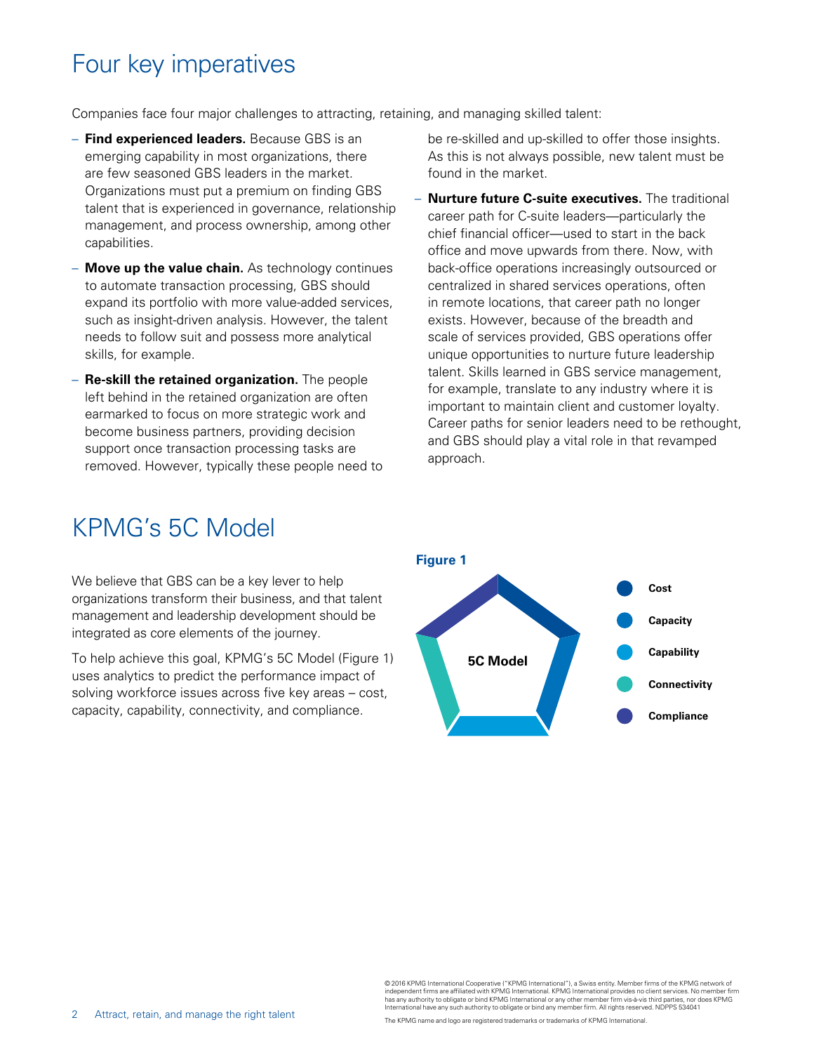# Four key imperatives

Companies face four major challenges to attracting, retaining, and managing skilled talent:

- **Find experienced leaders.** Because GBS is an emerging capability in most organizations, there are few seasoned GBS leaders in the market. Organizations must put a premium on finding GBS talent that is experienced in governance, relationship management, and process ownership, among other capabilities.
- **Move up the value chain.** As technology continues to automate transaction processing, GBS should expand its portfolio with more value-added services, such as insight-driven analysis. However, the talent needs to follow suit and possess more analytical skills, for example.
- **Re-skill the retained organization.** The people left behind in the retained organization are often earmarked to focus on more strategic work and become business partners, providing decision support once transaction processing tasks are removed. However, typically these people need to

be re-skilled and up-skilled to offer those insights. As this is not always possible, new talent must be found in the market.

– **Nurture future C-suite executives.** The traditional career path for C-suite leaders—particularly the chief financial officer—used to start in the back office and move upwards from there. Now, with back-office operations increasingly outsourced or centralized in shared services operations, often in remote locations, that career path no longer exists. However, because of the breadth and scale of services provided, GBS operations offer unique opportunities to nurture future leadership talent. Skills learned in GBS service management, for example, translate to any industry where it is important to maintain client and customer loyalty. Career paths for senior leaders need to be rethought, and GBS should play a vital role in that revamped approach.

### KPMG's 5C Model

We believe that GBS can be a key lever to help organizations transform their business, and that talent management and leadership development should be integrated as core elements of the journey.

To help achieve this goal, KPMG's 5C Model (Figure 1) uses analytics to predict the performance impact of solving workforce issues across five key areas – cost, capacity, capability, connectivity, and compliance.



© 2016 KPMG International Cooperative ("KPMG International"), a Swiss entity. Member firms of the KPMG network of independent firms are affiliated with KPMG International. KPMG International provides no client services. No member firm<br>has any authority to obligate or bind KPMG International or any other member firm vis-à-vis third par

The KPMG name and logo are registered trademarks or trademarks of KPMG International.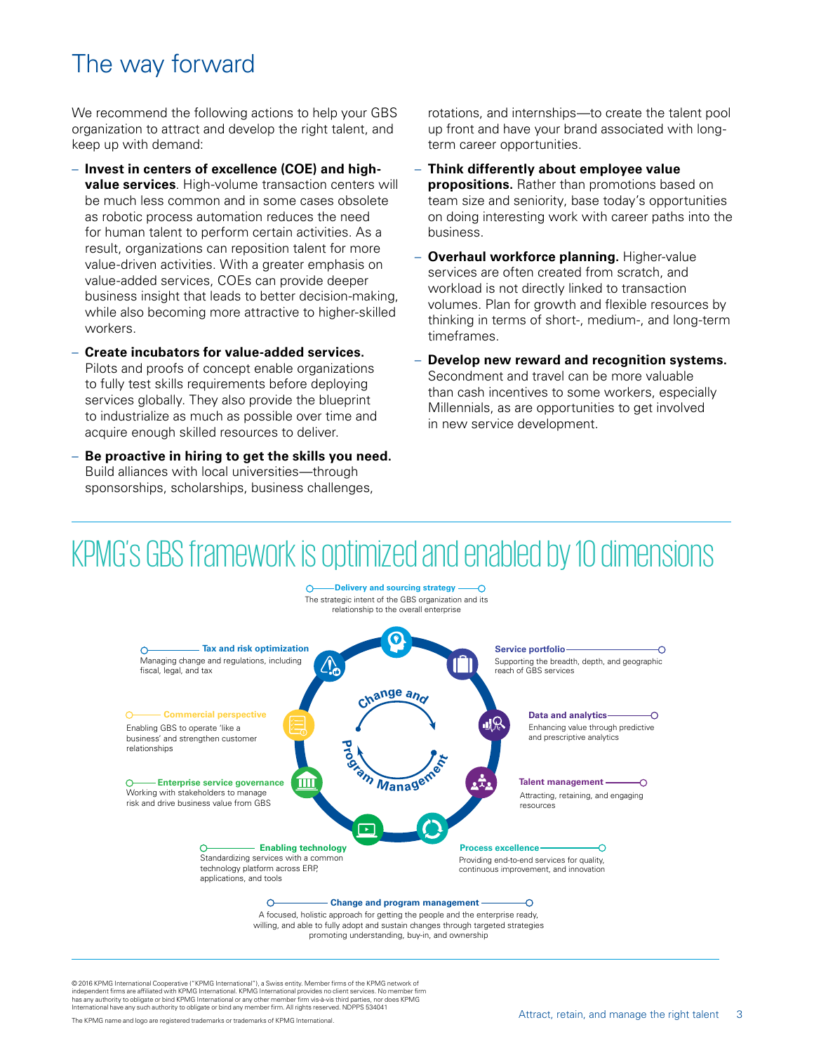# The way forward

We recommend the following actions to help your GBS organization to attract and develop the right talent, and keep up with demand:

- **Invest in centers of excellence (COE) and highvalue services**. High-volume transaction centers will be much less common and in some cases obsolete as robotic process automation reduces the need for human talent to perform certain activities. As a result, organizations can reposition talent for more value-driven activities. With a greater emphasis on value-added services, COEs can provide deeper business insight that leads to better decision-making, while also becoming more attractive to higher-skilled workers.
- **Create incubators for value-added services.**  Pilots and proofs of concept enable organizations to fully test skills requirements before deploying services globally. They also provide the blueprint to industrialize as much as possible over time and acquire enough skilled resources to deliver.
- **Be proactive in hiring to get the skills you need.**  Build alliances with local universities—through sponsorships, scholarships, business challenges,

rotations, and internships—to create the talent pool up front and have your brand associated with longterm career opportunities.

- **Think differently about employee value propositions.** Rather than promotions based on team size and seniority, base today's opportunities on doing interesting work with career paths into the business.
- **Overhaul workforce planning.** Higher-value services are often created from scratch, and workload is not directly linked to transaction volumes. Plan for growth and flexible resources by thinking in terms of short-, medium-, and long-term timeframes.
- **Develop new reward and recognition systems.**  Secondment and travel can be more valuable than cash incentives to some workers, especially Millennials, as are opportunities to get involved in new service development.

# KPMG's GBS framework is optimized and enabled by 10 dimensions

**Delivery and sourcing strategy -**

↷



A focused, holistic approach for getting the people and the enterprise ready, willing, and able to fully adopt and sustain changes through targeted strategies promoting understanding, buy-in, and ownership

© 2016 KPMG International Cooperative ("KPMG International"), a Swiss entity. Member firms of the KPMG network of independent firms are affiliated with KPMG International. KPMG International provides no client services. No member firm<br>has any authority to obligate or bind KPMG International or any other member firm vis-à-vis third par